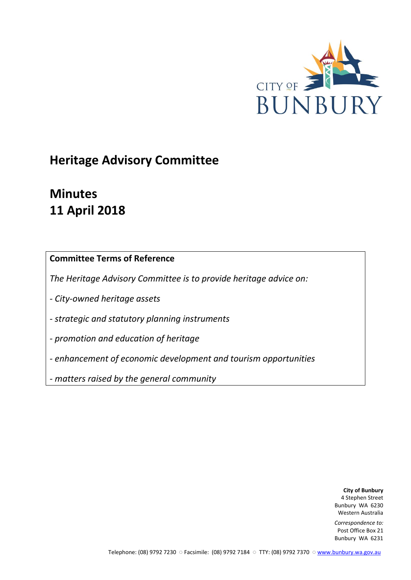

# **Heritage Advisory Committee**

# **Minutes 11 April 2018**

## **Committee Terms of Reference**

*The Heritage Advisory Committee is to provide heritage advice on:*

*- City-owned heritage assets*

*- strategic and statutory planning instruments*

*- promotion and education of heritage*

*- enhancement of economic development and tourism opportunities*

*- matters raised by the general community*

**City of Bunbury** 4 Stephen Street Bunbury WA 6230 Western Australia

*Correspondence to:* Post Office Box 21 Bunbury WA 6231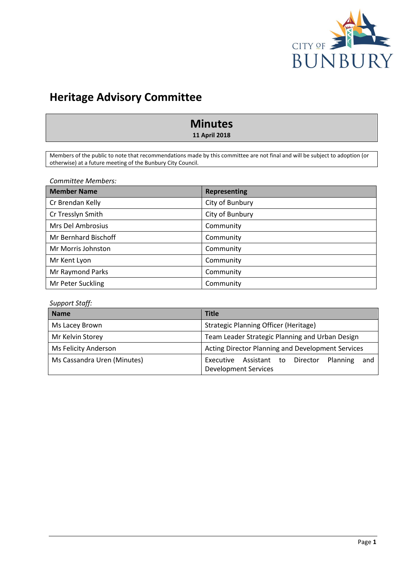

# **Heritage Advisory Committee**

# **Minutes**

**11 April 2018**

Members of the public to note that recommendations made by this committee are not final and will be subject to adoption (or otherwise) at a future meeting of the Bunbury City Council.

*Committee Members:*

| <b>Member Name</b>   | <b>Representing</b> |
|----------------------|---------------------|
| Cr Brendan Kelly     | City of Bunbury     |
| Cr Tresslyn Smith    | City of Bunbury     |
| Mrs Del Ambrosius    | Community           |
| Mr Bernhard Bischoff | Community           |
| Mr Morris Johnston   | Community           |
| Mr Kent Lyon         | Community           |
| Mr Raymond Parks     | Community           |
| Mr Peter Suckling    | Community           |

## *Support Staff:*

| <b>Name</b>                 | <b>Title</b>                                                                         |
|-----------------------------|--------------------------------------------------------------------------------------|
| Ms Lacey Brown              | Strategic Planning Officer (Heritage)                                                |
| Mr Kelvin Storey            | Team Leader Strategic Planning and Urban Design                                      |
| Ms Felicity Anderson        | Acting Director Planning and Development Services                                    |
| Ms Cassandra Uren (Minutes) | Assistant to Director<br>Planning<br>Executive<br>and<br><b>Development Services</b> |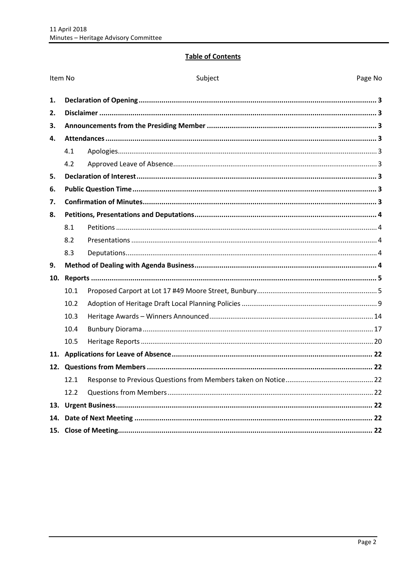## **Table of Contents**

| Item No |      | Subject | Page No |
|---------|------|---------|---------|
| 1.      |      |         |         |
| 2.      |      |         |         |
| 3.      |      |         |         |
| 4.      |      |         |         |
|         | 4.1  |         |         |
|         | 4.2  |         |         |
| 5.      |      |         |         |
| 6.      |      |         |         |
| 7.      |      |         |         |
| 8.      |      |         |         |
|         | 8.1  |         |         |
|         | 8.2  |         |         |
|         | 8.3  |         |         |
| 9.      |      |         |         |
| 10.     |      |         |         |
|         | 10.1 |         |         |
|         | 10.2 |         |         |
|         | 10.3 |         |         |
|         | 10.4 |         |         |
|         | 10.5 |         |         |
|         |      |         |         |
| 12.     |      |         |         |
|         | 12.1 |         |         |
|         | 12.2 |         |         |
| 13.     |      |         |         |
|         |      |         |         |
|         |      |         |         |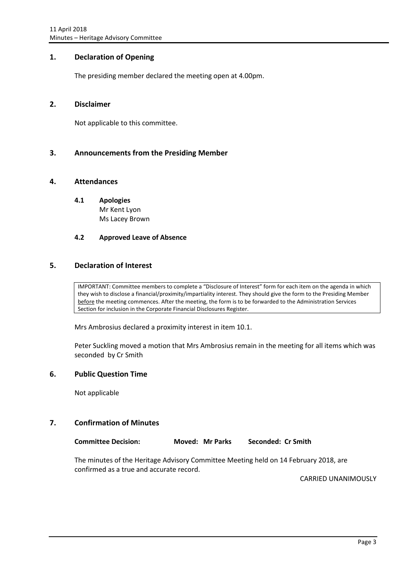## <span id="page-3-0"></span>**1. Declaration of Opening**

The presiding member declared the meeting open at 4.00pm.

## <span id="page-3-1"></span>**2. Disclaimer**

Not applicable to this committee.

## <span id="page-3-2"></span>**3. Announcements from the Presiding Member**

## <span id="page-3-4"></span><span id="page-3-3"></span>**4. Attendances**

## **4.1 Apologies**

Mr Kent Lyon Ms Lacey Brown

## <span id="page-3-5"></span>**4.2 Approved Leave of Absence**

## <span id="page-3-6"></span>**5. Declaration of Interest**

IMPORTANT: Committee members to complete a "Disclosure of Interest" form for each item on the agenda in which they wish to disclose a financial/proximity/impartiality interest. They should give the form to the Presiding Member before the meeting commences. After the meeting, the form is to be forwarded to the Administration Services Section for inclusion in the Corporate Financial Disclosures Register.

Mrs Ambrosius declared a proximity interest in item 10.1.

Peter Suckling moved a motion that Mrs Ambrosius remain in the meeting for all items which was seconded by Cr Smith

## <span id="page-3-7"></span>**6. Public Question Time**

Not applicable

## <span id="page-3-8"></span>**7. Confirmation of Minutes**

**Committee Decision: Moved: Mr Parks Seconded: Cr Smith**

The minutes of the Heritage Advisory Committee Meeting held on 14 February 2018, are confirmed as a true and accurate record.

CARRIED UNANIMOUSLY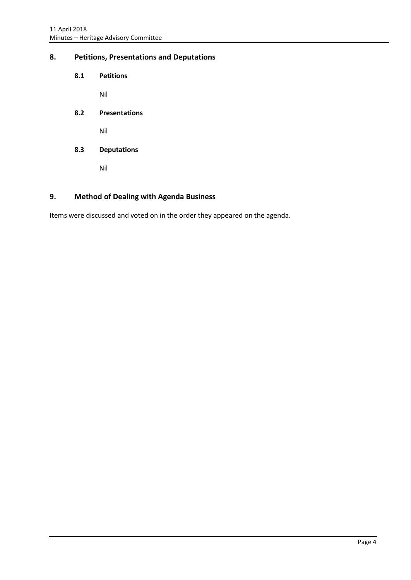## <span id="page-4-1"></span><span id="page-4-0"></span>**8. Petitions, Presentations and Deputations**

**8.1 Petitions**

Nil

<span id="page-4-2"></span>**8.2 Presentations**

Nil

<span id="page-4-3"></span>**8.3 Deputations**

Nil

## <span id="page-4-4"></span>**9. Method of Dealing with Agenda Business**

Items were discussed and voted on in the order they appeared on the agenda.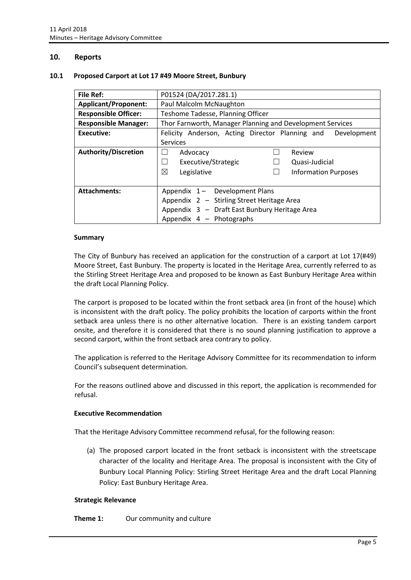## <span id="page-5-0"></span>**10. Reports**

#### <span id="page-5-1"></span>**10.1 Proposed Carport at Lot 17 #49 Moore Street, Bunbury**

| File Ref:                   | P01524 (DA/2017.281.1)                                         |
|-----------------------------|----------------------------------------------------------------|
| <b>Applicant/Proponent:</b> | Paul Malcolm McNaughton                                        |
| <b>Responsible Officer:</b> | Teshome Tadesse, Planning Officer                              |
| <b>Responsible Manager:</b> | Thor Farnworth, Manager Planning and Development Services      |
| <b>Executive:</b>           | Felicity Anderson, Acting Director Planning and<br>Development |
|                             | Services                                                       |
| <b>Authority/Discretion</b> | Review<br>Advocacy                                             |
|                             | Executive/Strategic<br>Quasi-Judicial<br>Ш                     |
|                             | ⊠<br>Legislative<br><b>Information Purposes</b>                |
|                             |                                                                |
| <b>Attachments:</b>         | Appendix 1- Development Plans                                  |
|                             | Appendix 2 - Stirling Street Heritage Area                     |
|                             | Appendix 3 - Draft East Bunbury Heritage Area                  |
|                             | Appendix 4 - Photographs                                       |

#### **Summary**

The City of Bunbury has received an application for the construction of a carport at Lot 17(#49) Moore Street, East Bunbury. The property is located in the Heritage Area, currently referred to as the Stirling Street Heritage Area and proposed to be known as East Bunbury Heritage Area within the draft Local Planning Policy.

The carport is proposed to be located within the front setback area (in front of the house) which is inconsistent with the draft policy. The policy prohibits the location of carports within the front setback area unless there is no other alternative location. There is an existing tandem carport onsite, and therefore it is considered that there is no sound planning justification to approve a second carport, within the front setback area contrary to policy.

The application is referred to the Heritage Advisory Committee for its recommendation to inform Council's subsequent determination.

For the reasons outlined above and discussed in this report, the application is recommended for refusal.

## **Executive Recommendation**

That the Heritage Advisory Committee recommend refusal, for the following reason:

(a) The proposed carport located in the front setback is inconsistent with the streetscape character of the locality and Heritage Area. The proposal is inconsistent with the City of Bunbury Local Planning Policy: Stirling Street Heritage Area and the draft Local Planning Policy: East Bunbury Heritage Area.

## **Strategic Relevance**

**Theme 1:** Our community and culture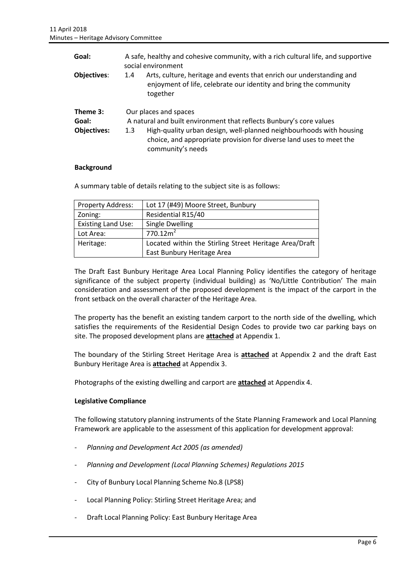| Goal:              | A safe, healthy and cohesive community, with a rich cultural life, and supportive<br>social environment                                                                |
|--------------------|------------------------------------------------------------------------------------------------------------------------------------------------------------------------|
| Objectives:        | Arts, culture, heritage and events that enrich our understanding and<br>1.4<br>enjoyment of life, celebrate our identity and bring the community<br>together           |
| Theme 3:<br>Goal:  | Our places and spaces<br>A natural and built environment that reflects Bunbury's core values                                                                           |
| <b>Objectives:</b> | High-quality urban design, well-planned neighbourhoods with housing<br>1.3<br>choice, and appropriate provision for diverse land uses to meet the<br>community's needs |

## **Background**

A summary table of details relating to the subject site is as follows:

| <b>Property Address:</b>  | Lot 17 (#49) Moore Street, Bunbury                     |
|---------------------------|--------------------------------------------------------|
| Zoning:                   | Residential R15/40                                     |
| <b>Existing Land Use:</b> | Single Dwelling                                        |
| Lot Area:                 | 770.12m <sup>2</sup>                                   |
| Heritage:                 | Located within the Stirling Street Heritage Area/Draft |
|                           | East Bunbury Heritage Area                             |

The Draft East Bunbury Heritage Area Local Planning Policy identifies the category of heritage significance of the subject property (individual building) as 'No/Little Contribution' The main consideration and assessment of the proposed development is the impact of the carport in the front setback on the overall character of the Heritage Area.

The property has the benefit an existing tandem carport to the north side of the dwelling, which satisfies the requirements of the Residential Design Codes to provide two car parking bays on site. The proposed development plans are **attached** at Appendix 1.

The boundary of the Stirling Street Heritage Area is **attached** at Appendix 2 and the draft East Bunbury Heritage Area is **attached** at Appendix 3.

Photographs of the existing dwelling and carport are **attached** at Appendix 4.

#### **Legislative Compliance**

The following statutory planning instruments of the State Planning Framework and Local Planning Framework are applicable to the assessment of this application for development approval:

- *Planning and Development Act 2005 (as amended)*
- *Planning and Development (Local Planning Schemes) Regulations 2015*
- City of Bunbury Local Planning Scheme No.8 (LPS8)
- Local Planning Policy: Stirling Street Heritage Area; and
- Draft Local Planning Policy: East Bunbury Heritage Area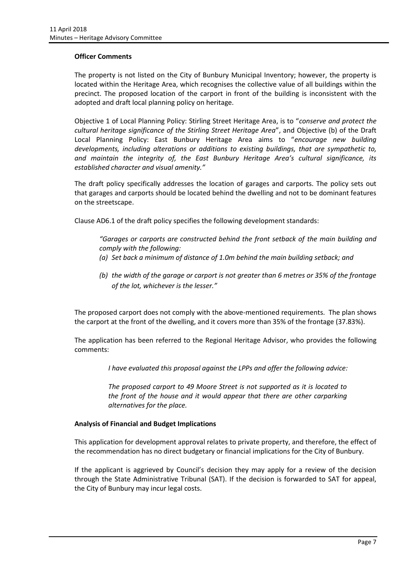## **Officer Comments**

The property is not listed on the City of Bunbury Municipal Inventory; however, the property is located within the Heritage Area, which recognises the collective value of all buildings within the precinct. The proposed location of the carport in front of the building is inconsistent with the adopted and draft local planning policy on heritage.

Objective 1 of Local Planning Policy: Stirling Street Heritage Area, is to "*conserve and protect the cultural heritage significance of the Stirling Street Heritage Area*", and Objective (b) of the Draft Local Planning Policy: East Bunbury Heritage Area aims to "*encourage new building developments, including alterations or additions to existing buildings, that are sympathetic to, and maintain the integrity of, the East Bunbury Heritage Area's cultural significance, its established character and visual amenity."*

The draft policy specifically addresses the location of garages and carports. The policy sets out that garages and carports should be located behind the dwelling and not to be dominant features on the streetscape.

Clause AD6.1 of the draft policy specifies the following development standards:

*"Garages or carports are constructed behind the front setback of the main building and comply with the following:*

- *(a) Set back a minimum of distance of 1.0m behind the main building setback; and*
- *(b) the width of the garage or carport is not greater than 6 metres or 35% of the frontage of the lot, whichever is the lesser."*

The proposed carport does not comply with the above-mentioned requirements. The plan shows the carport at the front of the dwelling, and it covers more than 35% of the frontage (37.83%).

The application has been referred to the Regional Heritage Advisor, who provides the following comments:

*I have evaluated this proposal against the LPPs and offer the following advice:*

*The proposed carport to 49 Moore Street is not supported as it is located to the front of the house and it would appear that there are other carparking alternatives for the place.*

## **Analysis of Financial and Budget Implications**

This application for development approval relates to private property, and therefore, the effect of the recommendation has no direct budgetary or financial implications for the City of Bunbury.

If the applicant is aggrieved by Council's decision they may apply for a review of the decision through the State Administrative Tribunal (SAT). If the decision is forwarded to SAT for appeal, the City of Bunbury may incur legal costs.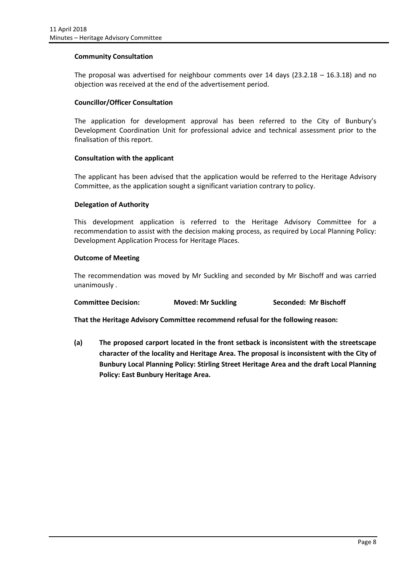## **Community Consultation**

The proposal was advertised for neighbour comments over 14 days (23.2.18 – 16.3.18) and no objection was received at the end of the advertisement period.

## **Councillor/Officer Consultation**

The application for development approval has been referred to the City of Bunbury's Development Coordination Unit for professional advice and technical assessment prior to the finalisation of this report.

## **Consultation with the applicant**

The applicant has been advised that the application would be referred to the Heritage Advisory Committee, as the application sought a significant variation contrary to policy.

## **Delegation of Authority**

This development application is referred to the Heritage Advisory Committee for a recommendation to assist with the decision making process, as required by Local Planning Policy: Development Application Process for Heritage Places.

## **Outcome of Meeting**

The recommendation was moved by Mr Suckling and seconded by Mr Bischoff and was carried unanimously .

**Committee Decision: Moved: Mr Suckling Seconded: Mr Bischoff**

**That the Heritage Advisory Committee recommend refusal for the following reason:**

**(a) The proposed carport located in the front setback is inconsistent with the streetscape character of the locality and Heritage Area. The proposal is inconsistent with the City of Bunbury Local Planning Policy: Stirling Street Heritage Area and the draft Local Planning Policy: East Bunbury Heritage Area.**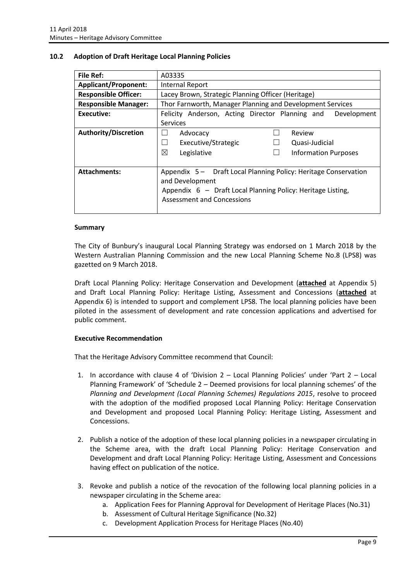## <span id="page-9-0"></span>**10.2 Adoption of Draft Heritage Local Planning Policies**

| File Ref:                   | A03335                                                         |
|-----------------------------|----------------------------------------------------------------|
| <b>Applicant/Proponent:</b> | <b>Internal Report</b>                                         |
| <b>Responsible Officer:</b> | Lacey Brown, Strategic Planning Officer (Heritage)             |
| <b>Responsible Manager:</b> | Thor Farnworth, Manager Planning and Development Services      |
| Executive:                  | Felicity Anderson, Acting Director Planning and<br>Development |
|                             | <b>Services</b>                                                |
| <b>Authority/Discretion</b> | Review<br>Advocacy                                             |
|                             | Executive/Strategic<br>Quasi-Judicial                          |
|                             | ⊠<br>Legislative<br><b>Information Purposes</b>                |
|                             |                                                                |
| <b>Attachments:</b>         | Appendix 5- Draft Local Planning Policy: Heritage Conservation |
|                             | and Development                                                |
|                             | Appendix 6 - Draft Local Planning Policy: Heritage Listing,    |
|                             | <b>Assessment and Concessions</b>                              |
|                             |                                                                |

#### **Summary**

The City of Bunbury's inaugural Local Planning Strategy was endorsed on 1 March 2018 by the Western Australian Planning Commission and the new Local Planning Scheme No.8 (LPS8) was gazetted on 9 March 2018.

Draft Local Planning Policy: Heritage Conservation and Development (**attached** at Appendix 5) and Draft Local Planning Policy: Heritage Listing, Assessment and Concessions (**attached** at Appendix 6) is intended to support and complement LPS8. The local planning policies have been piloted in the assessment of development and rate concession applications and advertised for public comment.

## **Executive Recommendation**

That the Heritage Advisory Committee recommend that Council:

- 1. In accordance with clause 4 of 'Division 2 Local Planning Policies' under 'Part 2 Local Planning Framework' of 'Schedule 2 – Deemed provisions for local planning schemes' of the *Planning and Development (Local Planning Schemes) Regulations 2015*, resolve to proceed with the adoption of the modified proposed Local Planning Policy: Heritage Conservation and Development and proposed Local Planning Policy: Heritage Listing, Assessment and Concessions.
- 2. Publish a notice of the adoption of these local planning policies in a newspaper circulating in the Scheme area, with the draft Local Planning Policy: Heritage Conservation and Development and draft Local Planning Policy: Heritage Listing, Assessment and Concessions having effect on publication of the notice.
- 3. Revoke and publish a notice of the revocation of the following local planning policies in a newspaper circulating in the Scheme area:
	- a. Application Fees for Planning Approval for Development of Heritage Places (No.31)
	- b. Assessment of Cultural Heritage Significance (No.32)
	- c. Development Application Process for Heritage Places (No.40)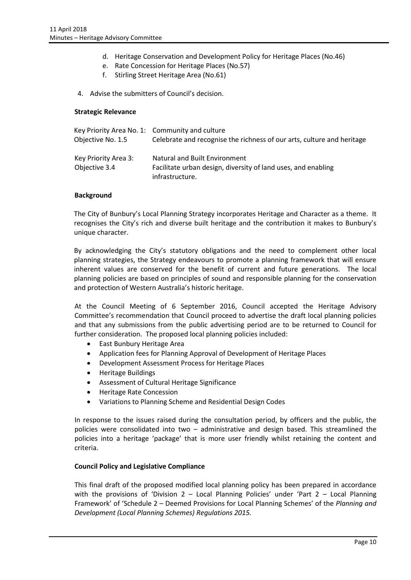- d. Heritage Conservation and Development Policy for Heritage Places (No.46)
- e. Rate Concession for Heritage Places (No.57)
- f. Stirling Street Heritage Area (No.61)
- 4. Advise the submitters of Council's decision.

## **Strategic Relevance**

| Objective No. 1.5                     | Key Priority Area No. 1: Community and culture<br>Celebrate and recognise the richness of our arts, culture and heritage |
|---------------------------------------|--------------------------------------------------------------------------------------------------------------------------|
| Key Priority Area 3:<br>Objective 3.4 | Natural and Built Environment<br>Facilitate urban design, diversity of land uses, and enabling<br>infrastructure.        |

## **Background**

The City of Bunbury's Local Planning Strategy incorporates Heritage and Character as a theme. It recognises the City's rich and diverse built heritage and the contribution it makes to Bunbury's unique character.

By acknowledging the City's statutory obligations and the need to complement other local planning strategies, the Strategy endeavours to promote a planning framework that will ensure inherent values are conserved for the benefit of current and future generations. The local planning policies are based on principles of sound and responsible planning for the conservation and protection of Western Australia's historic heritage.

At the Council Meeting of 6 September 2016, Council accepted the Heritage Advisory Committee's recommendation that Council proceed to advertise the draft local planning policies and that any submissions from the public advertising period are to be returned to Council for further consideration. The proposed local planning policies included:

- East Bunbury Heritage Area
- Application fees for Planning Approval of Development of Heritage Places
- Development Assessment Process for Heritage Places
- Heritage Buildings
- Assessment of Cultural Heritage Significance
- Heritage Rate Concession
- Variations to Planning Scheme and Residential Design Codes

In response to the issues raised during the consultation period, by officers and the public, the policies were consolidated into two – administrative and design based. This streamlined the policies into a heritage 'package' that is more user friendly whilst retaining the content and criteria.

## **Council Policy and Legislative Compliance**

This final draft of the proposed modified local planning policy has been prepared in accordance with the provisions of 'Division 2 – Local Planning Policies' under 'Part 2 – Local Planning Framework' of 'Schedule 2 – Deemed Provisions for Local Planning Schemes' of the *Planning and Development (Local Planning Schemes) Regulations 2015.*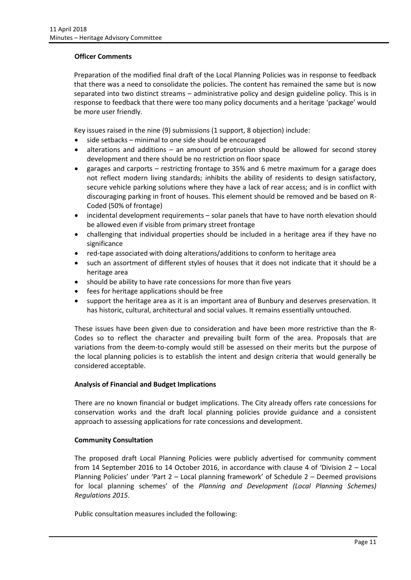## **Officer Comments**

Preparation of the modified final draft of the Local Planning Policies was in response to feedback that there was a need to consolidate the policies. The content has remained the same but is now separated into two distinct streams – administrative policy and design guideline policy. This is in response to feedback that there were too many policy documents and a heritage 'package' would be more user friendly.

Key issues raised in the nine (9) submissions (1 support, 8 objection) include:

- side setbacks minimal to one side should be encouraged
- alterations and additions an amount of protrusion should be allowed for second storey development and there should be no restriction on floor space
- garages and carports restricting frontage to 35% and 6 metre maximum for a garage does not reflect modern living standards; inhibits the ability of residents to design satisfactory, secure vehicle parking solutions where they have a lack of rear access; and is in conflict with discouraging parking in front of houses. This element should be removed and be based on R-Coded (50% of frontage)
- incidental development requirements solar panels that have to have north elevation should be allowed even if visible from primary street frontage
- challenging that individual properties should be included in a heritage area if they have no significance
- red-tape associated with doing alterations/additions to conform to heritage area
- such an assortment of different styles of houses that it does not indicate that it should be a heritage area
- should be ability to have rate concessions for more than five years
- fees for heritage applications should be free
- support the heritage area as it is an important area of Bunbury and deserves preservation. It has historic, cultural, architectural and social values. It remains essentially untouched.

These issues have been given due to consideration and have been more restrictive than the R-Codes so to reflect the character and prevailing built form of the area. Proposals that are variations from the deem-to-comply would still be assessed on their merits but the purpose of the local planning policies is to establish the intent and design criteria that would generally be considered acceptable.

## **Analysis of Financial and Budget Implications**

There are no known financial or budget implications. The City already offers rate concessions for conservation works and the draft local planning policies provide guidance and a consistent approach to assessing applications for rate concessions and development.

## **Community Consultation**

The proposed draft Local Planning Policies were publicly advertised for community comment from 14 September 2016 to 14 October 2016, in accordance with clause 4 of 'Division 2 – Local Planning Policies' under 'Part 2 – Local planning framework' of Schedule 2 – Deemed provisions for local planning schemes' of the *Planning and Development (Local Planning Schemes) Regulations 2015*.

Public consultation measures included the following: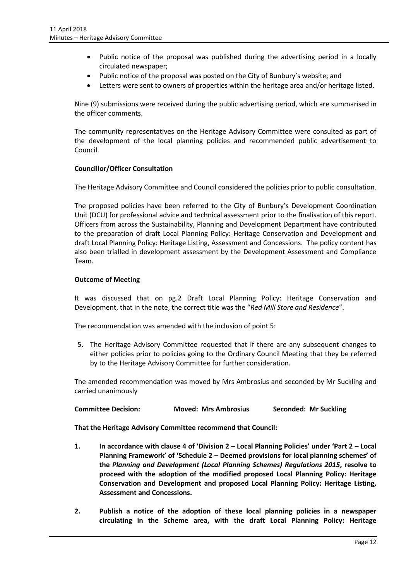- Public notice of the proposal was published during the advertising period in a locally circulated newspaper;
- Public notice of the proposal was posted on the City of Bunbury's website; and
- Letters were sent to owners of properties within the heritage area and/or heritage listed.

Nine (9) submissions were received during the public advertising period, which are summarised in the officer comments.

The community representatives on the Heritage Advisory Committee were consulted as part of the development of the local planning policies and recommended public advertisement to Council.

## **Councillor/Officer Consultation**

The Heritage Advisory Committee and Council considered the policies prior to public consultation.

The proposed policies have been referred to the City of Bunbury's Development Coordination Unit (DCU) for professional advice and technical assessment prior to the finalisation of this report. Officers from across the Sustainability, Planning and Development Department have contributed to the preparation of draft Local Planning Policy: Heritage Conservation and Development and draft Local Planning Policy: Heritage Listing, Assessment and Concessions. The policy content has also been trialled in development assessment by the Development Assessment and Compliance Team.

## **Outcome of Meeting**

It was discussed that on pg.2 Draft Local Planning Policy: Heritage Conservation and Development, that in the note, the correct title was the "*Red Mill Store and Residence*".

The recommendation was amended with the inclusion of point 5:

5. The Heritage Advisory Committee requested that if there are any subsequent changes to either policies prior to policies going to the Ordinary Council Meeting that they be referred by to the Heritage Advisory Committee for further consideration.

The amended recommendation was moved by Mrs Ambrosius and seconded by Mr Suckling and carried unanimously

**Committee Decision: Moved: Mrs Ambrosius Seconded: Mr Suckling**

**That the Heritage Advisory Committee recommend that Council:** 

- **1. In accordance with clause 4 of 'Division 2 – Local Planning Policies' under 'Part 2 – Local Planning Framework' of 'Schedule 2 – Deemed provisions for local planning schemes' of the** *Planning and Development (Local Planning Schemes) Regulations 2015***, resolve to proceed with the adoption of the modified proposed Local Planning Policy: Heritage Conservation and Development and proposed Local Planning Policy: Heritage Listing, Assessment and Concessions.**
- **2. Publish a notice of the adoption of these local planning policies in a newspaper circulating in the Scheme area, with the draft Local Planning Policy: Heritage**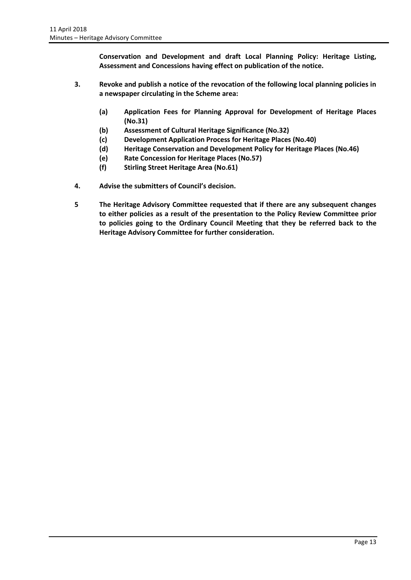**Conservation and Development and draft Local Planning Policy: Heritage Listing, Assessment and Concessions having effect on publication of the notice.**

- **3. Revoke and publish a notice of the revocation of the following local planning policies in a newspaper circulating in the Scheme area:**
	- **(a) Application Fees for Planning Approval for Development of Heritage Places (No.31)**
	- **(b) Assessment of Cultural Heritage Significance (No.32)**
	- **(c) Development Application Process for Heritage Places (No.40)**
	- **(d) Heritage Conservation and Development Policy for Heritage Places (No.46)**
	- **(e) Rate Concession for Heritage Places (No.57)**
	- **(f) Stirling Street Heritage Area (No.61)**
- **4. Advise the submitters of Council's decision.**
- **5 The Heritage Advisory Committee requested that if there are any subsequent changes to either policies as a result of the presentation to the Policy Review Committee prior to policies going to the Ordinary Council Meeting that they be referred back to the Heritage Advisory Committee for further consideration.**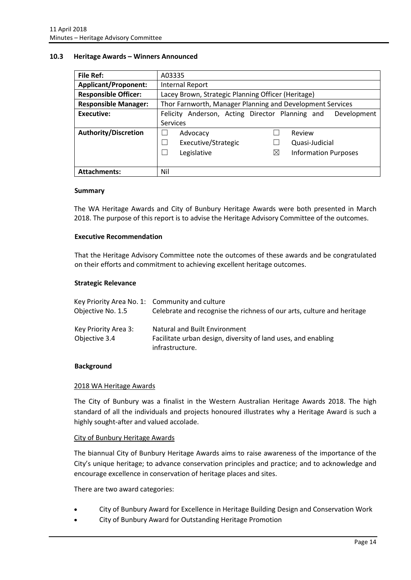## <span id="page-14-0"></span>**10.3 Heritage Awards – Winners Announced**

| <b>File Ref:</b>            | A03335                                                            |
|-----------------------------|-------------------------------------------------------------------|
| <b>Applicant/Proponent:</b> | Internal Report                                                   |
| <b>Responsible Officer:</b> | Lacey Brown, Strategic Planning Officer (Heritage)                |
| <b>Responsible Manager:</b> | Thor Farnworth, Manager Planning and Development Services         |
| Executive:                  | Anderson, Acting Director Planning and<br>Development<br>Felicity |
|                             | Services                                                          |
| <b>Authority/Discretion</b> | Review<br>Advocacy                                                |
|                             | Executive/Strategic<br>Quasi-Judicial<br>×                        |
|                             | Legislative<br>⋈<br><b>Information Purposes</b>                   |
|                             |                                                                   |
| <b>Attachments:</b>         | Nil                                                               |

#### **Summary**

The WA Heritage Awards and City of Bunbury Heritage Awards were both presented in March 2018. The purpose of this report is to advise the Heritage Advisory Committee of the outcomes.

#### **Executive Recommendation**

That the Heritage Advisory Committee note the outcomes of these awards and be congratulated on their efforts and commitment to achieving excellent heritage outcomes.

#### **Strategic Relevance**

| Objective No. 1.5                     | Key Priority Area No. 1: Community and culture<br>Celebrate and recognise the richness of our arts, culture and heritage |
|---------------------------------------|--------------------------------------------------------------------------------------------------------------------------|
| Key Priority Area 3:<br>Objective 3.4 | Natural and Built Environment<br>Facilitate urban design, diversity of land uses, and enabling<br>infrastructure.        |

## **Background**

#### 2018 WA Heritage Awards

The City of Bunbury was a finalist in the Western Australian Heritage Awards 2018. The high standard of all the individuals and projects honoured illustrates why a Heritage Award is such a highly sought-after and valued accolade.

#### City of Bunbury Heritage Awards

The biannual City of Bunbury Heritage Awards aims to raise awareness of the importance of the City's unique heritage; to advance conservation principles and practice; and to acknowledge and encourage excellence in conservation of heritage places and sites.

There are two award categories:

- City of Bunbury Award for Excellence in Heritage Building Design and Conservation Work
- City of Bunbury Award for Outstanding Heritage Promotion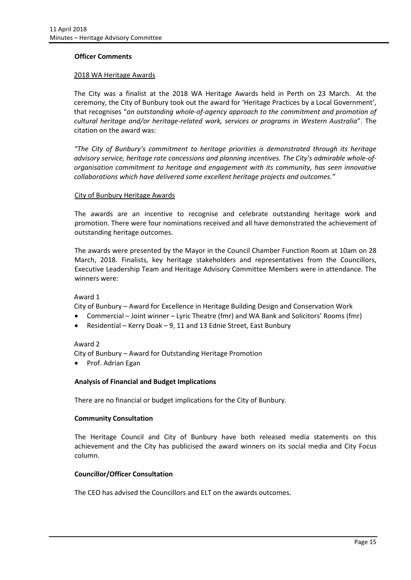### **Officer Comments**

#### 2018 WA Heritage Awards

The City was a finalist at the 2018 WA Heritage Awards held in Perth on 23 March. At the ceremony, the City of Bunbury took out the award for 'Heritage Practices by a Local Government', that recognises "*an outstanding whole-of-agency approach to the commitment and promotion of cultural heritage and/or heritage-related work, services or programs in Western Australia*". The citation on the award was:

*"The City of Bunbury's commitment to heritage priorities is demonstrated through its heritage advisory service, heritage rate concessions and planning incentives. The City's admirable whole-oforganisation commitment to heritage and engagement with its community, has seen innovative collaborations which have delivered some excellent heritage projects and outcomes."*

#### City of Bunbury Heritage Awards

The awards are an incentive to recognise and celebrate outstanding heritage work and promotion. There were four nominations received and all have demonstrated the achievement of outstanding heritage outcomes.

The awards were presented by the Mayor in the Council Chamber Function Room at 10am on 28 March, 2018. Finalists, key heritage stakeholders and representatives from the Councillors, Executive Leadership Team and Heritage Advisory Committee Members were in attendance. The winners were:

#### Award 1

City of Bunbury – Award for Excellence in Heritage Building Design and Conservation Work

- Commercial Joint winner Lyric Theatre (fmr) and WA Bank and Solicitors' Rooms (fmr)
- Residential Kerry Doak 9, 11 and 13 Ednie Street, East Bunbury

#### Award 2

City of Bunbury – Award for Outstanding Heritage Promotion

Prof. Adrian Egan

#### **Analysis of Financial and Budget Implications**

There are no financial or budget implications for the City of Bunbury.

#### **Community Consultation**

The Heritage Council and City of Bunbury have both released media statements on this achievement and the City has publicised the award winners on its social media and City Focus column.

#### **Councillor/Officer Consultation**

The CEO has advised the Councillors and ELT on the awards outcomes.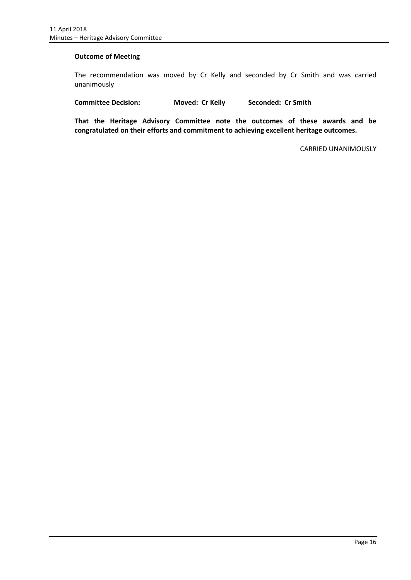## **Outcome of Meeting**

The recommendation was moved by Cr Kelly and seconded by Cr Smith and was carried unanimously

**Committee Decision: Moved: Cr Kelly Seconded: Cr Smith**

**That the Heritage Advisory Committee note the outcomes of these awards and be congratulated on their efforts and commitment to achieving excellent heritage outcomes.** 

CARRIED UNANIMOUSLY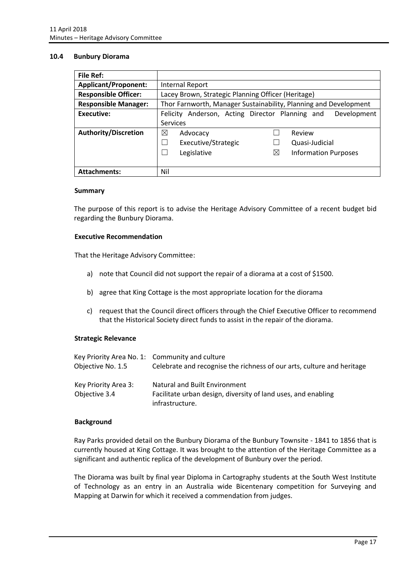## <span id="page-17-0"></span>**10.4 Bunbury Diorama**

| <b>File Ref:</b>            |                                                                   |
|-----------------------------|-------------------------------------------------------------------|
| <b>Applicant/Proponent:</b> | Internal Report                                                   |
| <b>Responsible Officer:</b> | Lacey Brown, Strategic Planning Officer (Heritage)                |
| <b>Responsible Manager:</b> | Thor Farnworth, Manager Sustainability, Planning and Development  |
| Executive:                  | Anderson, Acting Director Planning and<br>Development<br>Felicity |
|                             | Services                                                          |
| Authority/Discretion        | ⊠<br>Review<br>Advocacy                                           |
|                             | Executive/Strategic<br>Quasi-Judicial                             |
|                             | <b>Information Purposes</b><br>Legislative<br>⋈                   |
|                             |                                                                   |
| <b>Attachments:</b>         | Nil                                                               |

## **Summary**

The purpose of this report is to advise the Heritage Advisory Committee of a recent budget bid regarding the Bunbury Diorama.

## **Executive Recommendation**

That the Heritage Advisory Committee:

- a) note that Council did not support the repair of a diorama at a cost of \$1500.
- b) agree that King Cottage is the most appropriate location for the diorama
- c) request that the Council direct officers through the Chief Executive Officer to recommend that the Historical Society direct funds to assist in the repair of the diorama.

## **Strategic Relevance**

| Objective No. 1.5                     | Key Priority Area No. 1: Community and culture<br>Celebrate and recognise the richness of our arts, culture and heritage |
|---------------------------------------|--------------------------------------------------------------------------------------------------------------------------|
| Key Priority Area 3:<br>Objective 3.4 | Natural and Built Environment<br>Facilitate urban design, diversity of land uses, and enabling<br>infrastructure.        |

## **Background**

Ray Parks provided detail on the Bunbury Diorama of the Bunbury Townsite - 1841 to 1856 that is currently housed at King Cottage. It was brought to the attention of the Heritage Committee as a significant and authentic replica of the development of Bunbury over the period.

The Diorama was built by final year Diploma in Cartography students at the South West Institute of Technology as an entry in an Australia wide Bicentenary competition for Surveying and Mapping at Darwin for which it received a commendation from judges.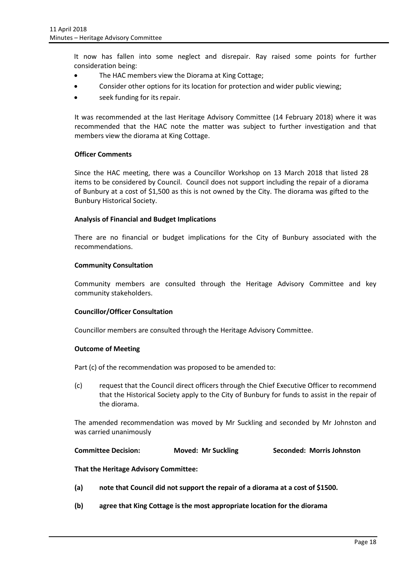It now has fallen into some neglect and disrepair. Ray raised some points for further consideration being:

- The HAC members view the Diorama at King Cottage;
- Consider other options for its location for protection and wider public viewing;
- seek funding for its repair.

It was recommended at the last Heritage Advisory Committee (14 February 2018) where it was recommended that the HAC note the matter was subject to further investigation and that members view the diorama at King Cottage.

## **Officer Comments**

Since the HAC meeting, there was a Councillor Workshop on 13 March 2018 that listed 28 items to be considered by Council. Council does not support including the repair of a diorama of Bunbury at a cost of \$1,500 as this is not owned by the City. The diorama was gifted to the Bunbury Historical Society.

#### **Analysis of Financial and Budget Implications**

There are no financial or budget implications for the City of Bunbury associated with the recommendations.

#### **Community Consultation**

Community members are consulted through the Heritage Advisory Committee and key community stakeholders.

## **Councillor/Officer Consultation**

Councillor members are consulted through the Heritage Advisory Committee.

## **Outcome of Meeting**

Part (c) of the recommendation was proposed to be amended to:

(c) request that the Council direct officers through the Chief Executive Officer to recommend that the Historical Society apply to the City of Bunbury for funds to assist in the repair of the diorama.

The amended recommendation was moved by Mr Suckling and seconded by Mr Johnston and was carried unanimously

**Committee Decision: Moved: Mr Suckling Seconded: Morris Johnston**

## **That the Heritage Advisory Committee:**

- **(a) note that Council did not support the repair of a diorama at a cost of \$1500.**
- **(b) agree that King Cottage is the most appropriate location for the diorama**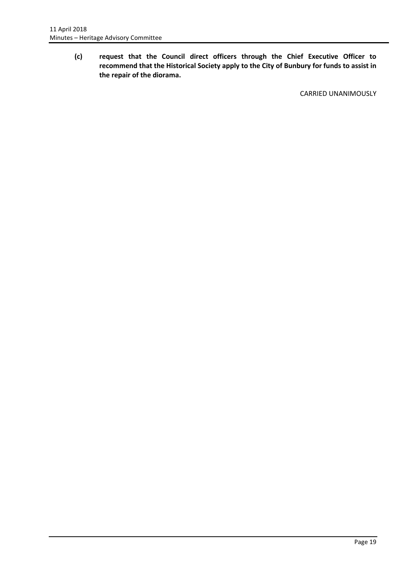<span id="page-19-0"></span>**(c) request that the Council direct officers through the Chief Executive Officer to recommend that the Historical Society apply to the City of Bunbury for funds to assist in the repair of the diorama.**

CARRIED UNANIMOUSLY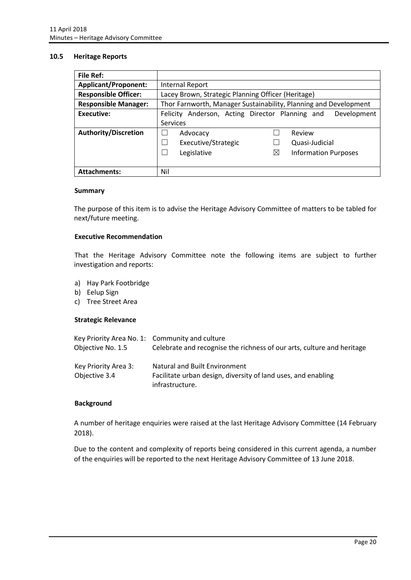## **10.5 Heritage Reports**

| <b>File Ref:</b>            |                                                                   |
|-----------------------------|-------------------------------------------------------------------|
| <b>Applicant/Proponent:</b> | Internal Report                                                   |
| <b>Responsible Officer:</b> | Lacey Brown, Strategic Planning Officer (Heritage)                |
| <b>Responsible Manager:</b> | Thor Farnworth, Manager Sustainability, Planning and Development  |
| Executive:                  | Anderson, Acting Director Planning and<br>Development<br>Felicity |
|                             | Services                                                          |
| Authority/Discretion        | Review<br>Advocacy                                                |
|                             | Executive/Strategic<br>Quasi-Judicial                             |
|                             | <b>Information Purposes</b><br>Legislative<br>$\boxtimes$         |
|                             |                                                                   |
| <b>Attachments:</b>         | Nil                                                               |

## **Summary**

The purpose of this item is to advise the Heritage Advisory Committee of matters to be tabled for next/future meeting.

#### **Executive Recommendation**

That the Heritage Advisory Committee note the following items are subject to further investigation and reports:

- a) Hay Park Footbridge
- b) Eelup Sign
- c) Tree Street Area

#### **Strategic Relevance**

| Objective No. 1.5                     | Key Priority Area No. 1: Community and culture<br>Celebrate and recognise the richness of our arts, culture and heritage |
|---------------------------------------|--------------------------------------------------------------------------------------------------------------------------|
| Key Priority Area 3:<br>Objective 3.4 | Natural and Built Environment<br>Facilitate urban design, diversity of land uses, and enabling<br>infrastructure.        |

## **Background**

A number of heritage enquiries were raised at the last Heritage Advisory Committee (14 February 2018).

Due to the content and complexity of reports being considered in this current agenda, a number of the enquiries will be reported to the next Heritage Advisory Committee of 13 June 2018.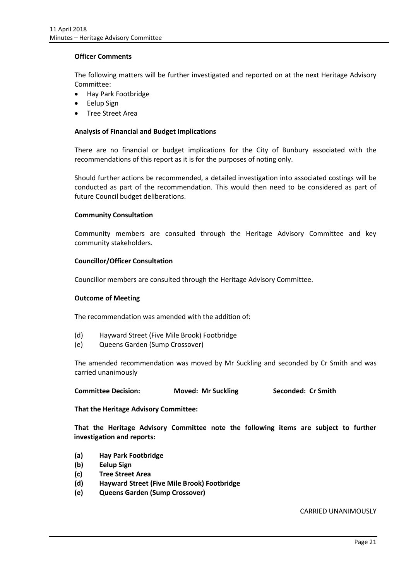## **Officer Comments**

The following matters will be further investigated and reported on at the next Heritage Advisory Committee:

- Hay Park Footbridge
- Eelup Sign
- Tree Street Area

## **Analysis of Financial and Budget Implications**

There are no financial or budget implications for the City of Bunbury associated with the recommendations of this report as it is for the purposes of noting only.

Should further actions be recommended, a detailed investigation into associated costings will be conducted as part of the recommendation. This would then need to be considered as part of future Council budget deliberations.

#### **Community Consultation**

Community members are consulted through the Heritage Advisory Committee and key community stakeholders.

#### **Councillor/Officer Consultation**

Councillor members are consulted through the Heritage Advisory Committee.

#### **Outcome of Meeting**

The recommendation was amended with the addition of:

- (d) Hayward Street (Five Mile Brook) Footbridge
- (e) Queens Garden (Sump Crossover)

The amended recommendation was moved by Mr Suckling and seconded by Cr Smith and was carried unanimously

**Committee Decision: Moved: Mr Suckling Seconded: Cr Smith**

#### **That the Heritage Advisory Committee:**

**That the Heritage Advisory Committee note the following items are subject to further investigation and reports:**

- **(a) Hay Park Footbridge**
- **(b) Eelup Sign**
- **(c) Tree Street Area**
- **(d) Hayward Street (Five Mile Brook) Footbridge**
- **(e) Queens Garden (Sump Crossover)**

## CARRIED UNANIMOUSLY